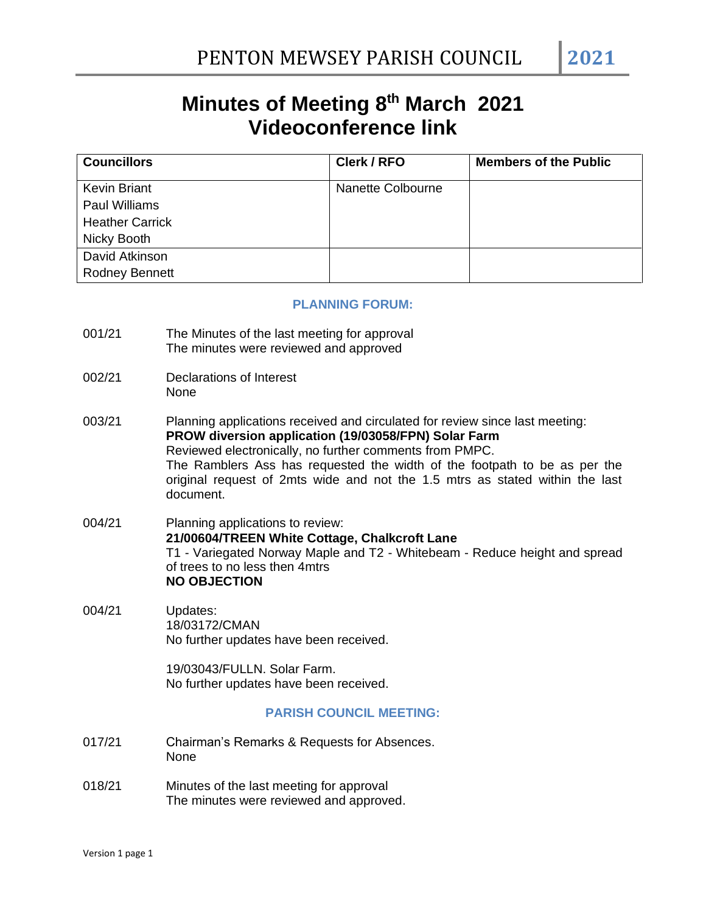# **Minutes of Meeting 8 th March 2021 Videoconference link**

| <b>Councillors</b>     | Clerk / RFO       | <b>Members of the Public</b> |
|------------------------|-------------------|------------------------------|
| <b>Kevin Briant</b>    | Nanette Colbourne |                              |
| <b>Paul Williams</b>   |                   |                              |
| <b>Heather Carrick</b> |                   |                              |
| Nicky Booth            |                   |                              |
| David Atkinson         |                   |                              |
| <b>Rodney Bennett</b>  |                   |                              |

#### **PLANNING FORUM:**

- 001/21 The Minutes of the last meeting for approval The minutes were reviewed and approved
- 002/21 Declarations of Interest None
- 003/21 Planning applications received and circulated for review since last meeting: **PROW diversion application (19/03058/FPN) Solar Farm** Reviewed electronically, no further comments from PMPC. The Ramblers Ass has requested the width of the footpath to be as per the original request of 2mts wide and not the 1.5 mtrs as stated within the last document.
- 004/21 Planning applications to review: **21/00604/TREEN White Cottage, Chalkcroft Lane** T1 - Variegated Norway Maple and T2 - Whitebeam - Reduce height and spread of trees to no less then 4mtrs **NO OBJECTION**
- 004/21 Updates: 18/03172/CMAN No further updates have been received.

19/03043/FULLN. Solar Farm. No further updates have been received.

#### **PARISH COUNCIL MEETING:**

- 017/21 Chairman's Remarks & Requests for Absences. None
- 018/21 Minutes of the last meeting for approval The minutes were reviewed and approved.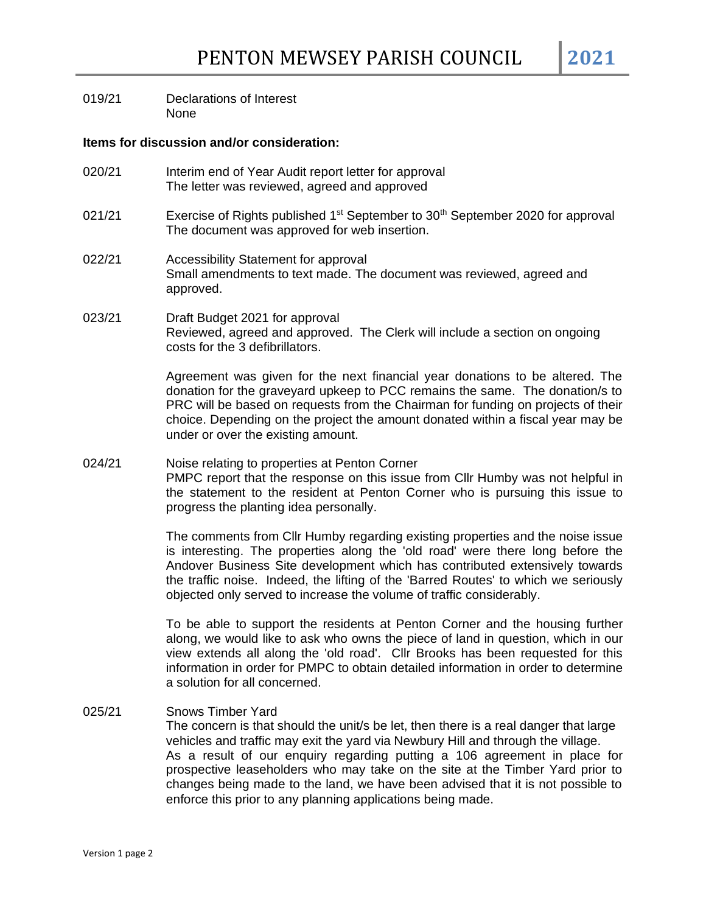019/21 Declarations of Interest None

#### **Items for discussion and/or consideration:**

- 020/21 Interim end of Year Audit report letter for approval The letter was reviewed, agreed and approved
- 021/21 Exercise of Rights published  $1<sup>st</sup>$  September to 30<sup>th</sup> September 2020 for approval The document was approved for web insertion.
- 022/21 Accessibility Statement for approval Small amendments to text made. The document was reviewed, agreed and approved.

#### 023/21 Draft Budget 2021 for approval Reviewed, agreed and approved. The Clerk will include a section on ongoing costs for the 3 defibrillators.

Agreement was given for the next financial year donations to be altered. The donation for the graveyard upkeep to PCC remains the same. The donation/s to PRC will be based on requests from the Chairman for funding on projects of their choice. Depending on the project the amount donated within a fiscal year may be under or over the existing amount.

024/21 Noise relating to properties at Penton Corner PMPC report that the response on this issue from Cllr Humby was not helpful in the statement to the resident at Penton Corner who is pursuing this issue to progress the planting idea personally.

> The comments from Cllr Humby regarding existing properties and the noise issue is interesting. The properties along the 'old road' were there long before the Andover Business Site development which has contributed extensively towards the traffic noise. Indeed, the lifting of the 'Barred Routes' to which we seriously objected only served to increase the volume of traffic considerably.

> To be able to support the residents at Penton Corner and the housing further along, we would like to ask who owns the piece of land in question, which in our view extends all along the 'old road'. Cllr Brooks has been requested for this information in order for PMPC to obtain detailed information in order to determine a solution for all concerned.

025/21 Snows Timber Yard The concern is that should the unit/s be let, then there is a real danger that large vehicles and traffic may exit the yard via Newbury Hill and through the village. As a result of our enquiry regarding putting a 106 agreement in place for prospective leaseholders who may take on the site at the Timber Yard prior to changes being made to the land, we have been advised that it is not possible to enforce this prior to any planning applications being made.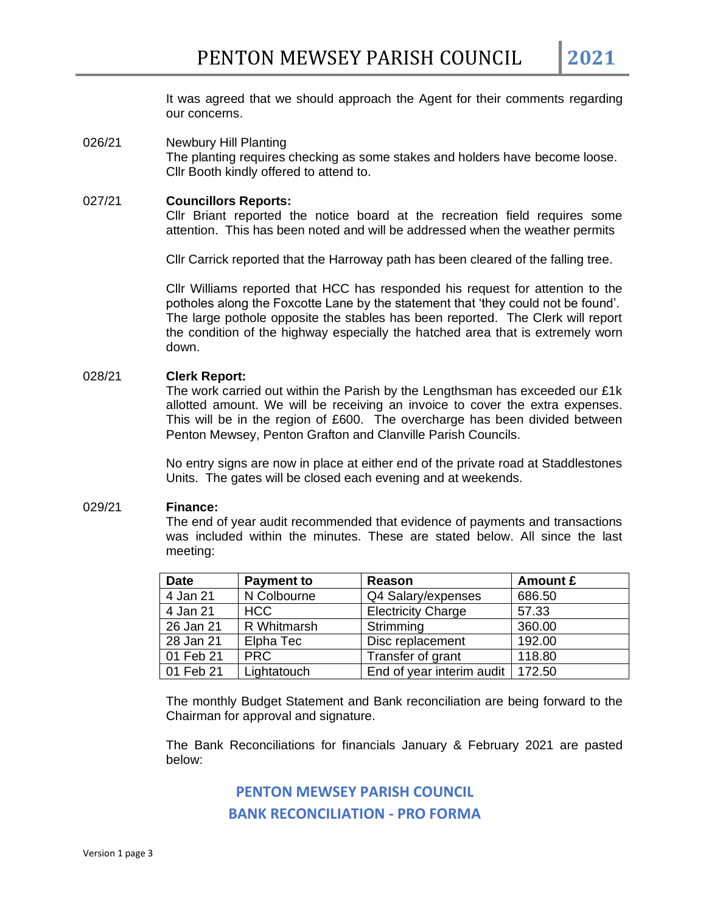It was agreed that we should approach the Agent for their comments regarding our concerns.

026/21 Newbury Hill Planting The planting requires checking as some stakes and holders have become loose. Cllr Booth kindly offered to attend to.

#### 027/21 **Councillors Reports:** Cllr Briant reported the notice board at the recreation field requires some attention. This has been noted and will be addressed when the weather permits

Cllr Carrick reported that the Harroway path has been cleared of the falling tree.

Cllr Williams reported that HCC has responded his request for attention to the potholes along the Foxcotte Lane by the statement that 'they could not be found'. The large pothole opposite the stables has been reported. The Clerk will report the condition of the highway especially the hatched area that is extremely worn down.

#### 028/21 **Clerk Report:**

The work carried out within the Parish by the Lengthsman has exceeded our £1k allotted amount. We will be receiving an invoice to cover the extra expenses. This will be in the region of £600. The overcharge has been divided between Penton Mewsey, Penton Grafton and Clanville Parish Councils.

No entry signs are now in place at either end of the private road at Staddlestones Units. The gates will be closed each evening and at weekends.

#### 029/21 **Finance:**

The end of year audit recommended that evidence of payments and transactions was included within the minutes. These are stated below. All since the last meeting:

| <b>Date</b> | <b>Payment to</b> | Reason                    | Amount £ |
|-------------|-------------------|---------------------------|----------|
| 4 Jan 21    | N Colbourne       | Q4 Salary/expenses        | 686.50   |
| 4 Jan 21    | <b>HCC</b>        | <b>Electricity Charge</b> | 57.33    |
| 26 Jan 21   | R Whitmarsh       | Strimming                 | 360.00   |
| 28 Jan 21   | Elpha Tec         | Disc replacement          | 192.00   |
| 01 Feb 21   | <b>PRC</b>        | Transfer of grant         | 118.80   |
| 01 Feb 21   | Lightatouch       | End of year interim audit | 172.50   |

The monthly Budget Statement and Bank reconciliation are being forward to the Chairman for approval and signature.

The Bank Reconciliations for financials January & February 2021 are pasted below:

### **PENTON MEWSEY PARISH COUNCIL BANK RECONCILIATION - PRO FORMA**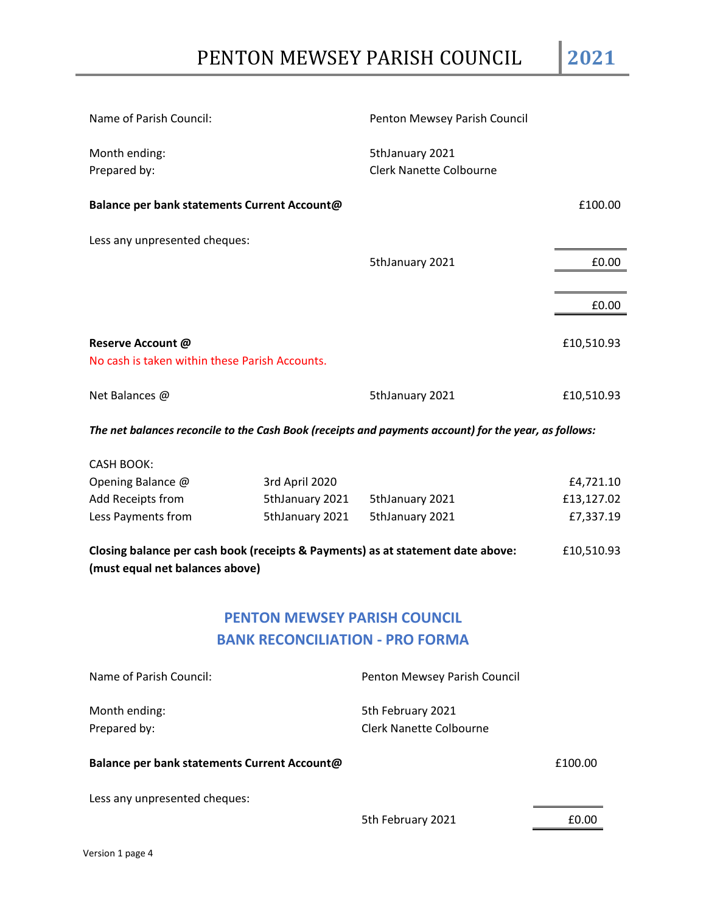| Name of Parish Council:                                             | Penton Mewsey Parish Council                      |            |
|---------------------------------------------------------------------|---------------------------------------------------|------------|
| Month ending:<br>Prepared by:                                       | 5thJanuary 2021<br><b>Clerk Nanette Colbourne</b> |            |
| Balance per bank statements Current Account@                        |                                                   | £100.00    |
| Less any unpresented cheques:                                       |                                                   |            |
|                                                                     | 5thJanuary 2021                                   | £0.00      |
|                                                                     |                                                   |            |
|                                                                     |                                                   | £0.00      |
| Reserve Account @<br>No cash is taken within these Parish Accounts. |                                                   | £10,510.93 |
| Net Balances @                                                      | 5thJanuary 2021                                   | £10,510.93 |

*The net balances reconcile to the Cash Book (receipts and payments account) for the year, as follows:*

| CASH BOOK:         |                 |                 |            |
|--------------------|-----------------|-----------------|------------|
| Opening Balance @  | 3rd April 2020  |                 | £4,721.10  |
| Add Receipts from  | 5thJanuary 2021 | 5thJanuary 2021 | £13,127.02 |
| Less Payments from | 5thJanuary 2021 | 5thJanuary 2021 | £7,337.19  |

**Closing balance per cash book (receipts & Payments) as at statement date above:** £10,510.93 **(must equal net balances above)**

## **PENTON MEWSEY PARISH COUNCIL BANK RECONCILIATION - PRO FORMA**

| Name of Parish Council:                      | Penton Mewsey Parish Council                        |         |
|----------------------------------------------|-----------------------------------------------------|---------|
| Month ending:<br>Prepared by:                | 5th February 2021<br><b>Clerk Nanette Colbourne</b> |         |
| Balance per bank statements Current Account@ |                                                     | £100.00 |
| Less any unpresented cheques:                |                                                     |         |
|                                              | 5th February 2021                                   | £0.00   |